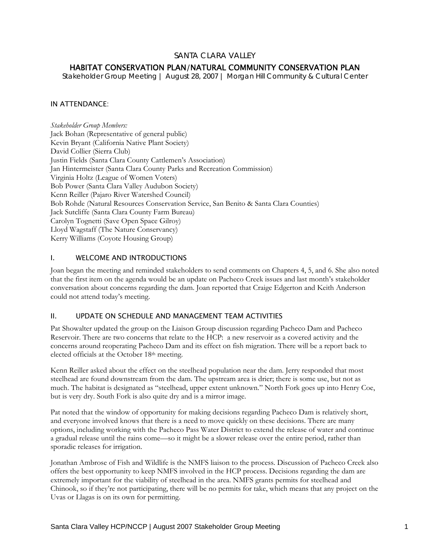# SANTA CLARA VALLEY

# HABITAT CONSERVATION PLAN/NATURAL COMMUNITY CONSERVATION PLAN

*Stakeholder Group Meeting | August 28, 2007 | Morgan Hill Community & Cultural Center* 

## IN ATTENDANCE:

*Stakeholder Group Members:*  Jack Bohan (Representative of general public) Kevin Bryant (California Native Plant Society) David Collier (Sierra Club) Justin Fields (Santa Clara County Cattlemen's Association) Jan Hintermeister (Santa Clara County Parks and Recreation Commission) Virginia Holtz (League of Women Voters) Bob Power (Santa Clara Valley Audubon Society) Kenn Reiller (Pajaro River Watershed Council) Bob Rohde (Natural Resources Conservation Service, San Benito & Santa Clara Counties) Jack Sutcliffe (Santa Clara County Farm Bureau) Carolyn Tognetti (Save Open Space Gilroy) Lloyd Wagstaff (The Nature Conservancy) Kerry Williams (Coyote Housing Group)

## I. WELCOME AND INTRODUCTIONS

Joan began the meeting and reminded stakeholders to send comments on Chapters 4, 5, and 6. She also noted that the first item on the agenda would be an update on Pacheco Creek issues and last month's stakeholder conversation about concerns regarding the dam. Joan reported that Craige Edgerton and Keith Anderson could not attend today's meeting.

### II. UPDATE ON SCHEDULE AND MANAGEMENT TEAM ACTIVITIES

Pat Showalter updated the group on the Liaison Group discussion regarding Pacheco Dam and Pacheco Reservoir. There are two concerns that relate to the HCP: a new reservoir as a covered activity and the concerns around reoperating Pacheco Dam and its effect on fish migration. There will be a report back to elected officials at the October 18th meeting.

Kenn Reiller asked about the effect on the steelhead population near the dam. Jerry responded that most steelhead are found downstream from the dam. The upstream area is drier; there is some use, but not as much. The habitat is designated as "steelhead, upper extent unknown." North Fork goes up into Henry Coe, but is very dry. South Fork is also quite dry and is a mirror image.

Pat noted that the window of opportunity for making decisions regarding Pacheco Dam is relatively short, and everyone involved knows that there is a need to move quickly on these decisions. There are many options, including working with the Pacheco Pass Water District to extend the release of water and continue a gradual release until the rains come—so it might be a slower release over the entire period, rather than sporadic releases for irrigation.

Jonathan Ambrose of Fish and Wildlife is the NMFS liaison to the process. Discussion of Pacheco Creek also offers the best opportunity to keep NMFS involved in the HCP process. Decisions regarding the dam are extremely important for the viability of steelhead in the area. NMFS grants permits for steelhead and Chinook, so if they're not participating, there will be no permits for take, which means that any project on the Uvas or Llagas is on its own for permitting.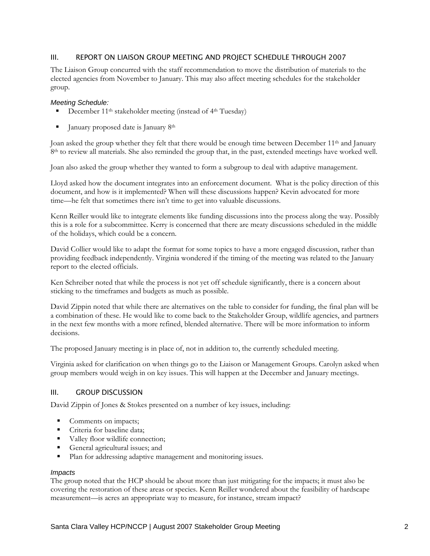## III. REPORT ON LIAISON GROUP MEETING AND PROJECT SCHEDULE THROUGH 2007

The Liaison Group concurred with the staff recommendation to move the distribution of materials to the elected agencies from November to January. This may also affect meeting schedules for the stakeholder group.

#### *Meeting Schedule:*

- December 11<sup>th</sup> stakeholder meeting (instead of 4<sup>th</sup> Tuesday)
- January proposed date is January 8th

Joan asked the group whether they felt that there would be enough time between December 11th and January 8<sup>th</sup> to review all materials. She also reminded the group that, in the past, extended meetings have worked well.

Joan also asked the group whether they wanted to form a subgroup to deal with adaptive management.

Lloyd asked how the document integrates into an enforcement document. What is the policy direction of this document, and how is it implemented? When will these discussions happen? Kevin advocated for more time—he felt that sometimes there isn't time to get into valuable discussions.

Kenn Reiller would like to integrate elements like funding discussions into the process along the way. Possibly this is a role for a subcommittee. Kerry is concerned that there are meaty discussions scheduled in the middle of the holidays, which could be a concern.

David Collier would like to adapt the format for some topics to have a more engaged discussion, rather than providing feedback independently. Virginia wondered if the timing of the meeting was related to the January report to the elected officials.

Ken Schreiber noted that while the process is not yet off schedule significantly, there is a concern about sticking to the timeframes and budgets as much as possible.

David Zippin noted that while there are alternatives on the table to consider for funding, the final plan will be a combination of these. He would like to come back to the Stakeholder Group, wildlife agencies, and partners in the next few months with a more refined, blended alternative. There will be more information to inform decisions.

The proposed January meeting is in place of, not in addition to, the currently scheduled meeting.

Virginia asked for clarification on when things go to the Liaison or Management Groups. Carolyn asked when group members would weigh in on key issues. This will happen at the December and January meetings.

### III. GROUP DISCUSSION

David Zippin of Jones & Stokes presented on a number of key issues, including:

- Comments on impacts;
- Criteria for baseline data:
- Valley floor wildlife connection;
- General agricultural issues; and
- **Plan for addressing adaptive management and monitoring issues.**

#### *Impacts*

The group noted that the HCP should be about more than just mitigating for the impacts; it must also be covering the restoration of these areas or species. Kenn Reiller wondered about the feasibility of hardscape measurement—is acres an appropriate way to measure, for instance, stream impact?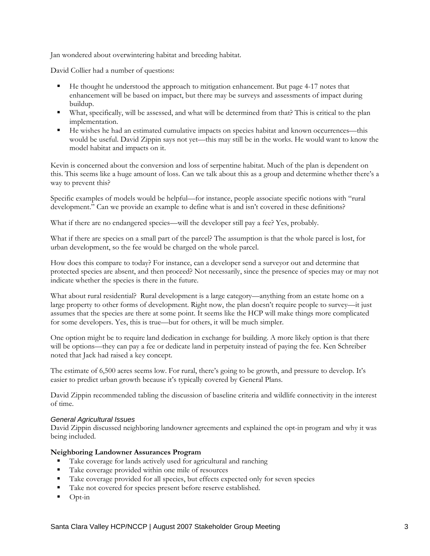Jan wondered about overwintering habitat and breeding habitat.

David Collier had a number of questions:

- He thought he understood the approach to mitigation enhancement. But page 4-17 notes that enhancement will be based on impact, but there may be surveys and assessments of impact during buildup.
- What, specifically, will be assessed, and what will be determined from that? This is critical to the plan implementation.
- He wishes he had an estimated cumulative impacts on species habitat and known occurrences—this would be useful. David Zippin says not yet—this may still be in the works. He would want to know the model habitat and impacts on it.

Kevin is concerned about the conversion and loss of serpentine habitat. Much of the plan is dependent on this. This seems like a huge amount of loss. Can we talk about this as a group and determine whether there's a way to prevent this?

Specific examples of models would be helpful—for instance, people associate specific notions with "rural development." Can we provide an example to define what is and isn't covered in these definitions?

What if there are no endangered species—will the developer still pay a fee? Yes, probably.

What if there are species on a small part of the parcel? The assumption is that the whole parcel is lost, for urban development, so the fee would be charged on the whole parcel.

How does this compare to today? For instance, can a developer send a surveyor out and determine that protected species are absent, and then proceed? Not necessarily, since the presence of species may or may not indicate whether the species is there in the future.

What about rural residential? Rural development is a large category—anything from an estate home on a large property to other forms of development. Right now, the plan doesn't require people to survey—it just assumes that the species are there at some point. It seems like the HCP will make things more complicated for some developers. Yes, this is true—but for others, it will be much simpler.

One option might be to require land dedication in exchange for building. A more likely option is that there will be options—they can pay a fee or dedicate land in perpetuity instead of paying the fee. Ken Schreiber noted that Jack had raised a key concept.

The estimate of 6,500 acres seems low. For rural, there's going to be growth, and pressure to develop. It's easier to predict urban growth because it's typically covered by General Plans.

David Zippin recommended tabling the discussion of baseline criteria and wildlife connectivity in the interest of time.

### *General Agricultural Issues*

David Zippin discussed neighboring landowner agreements and explained the opt-in program and why it was being included.

### **Neighboring Landowner Assurances Program**

- Take coverage for lands actively used for agricultural and ranching
- Take coverage provided within one mile of resources
- Take coverage provided for all species, but effects expected only for seven species
- Take not covered for species present before reserve established.
- $\blacksquare$  Opt-in